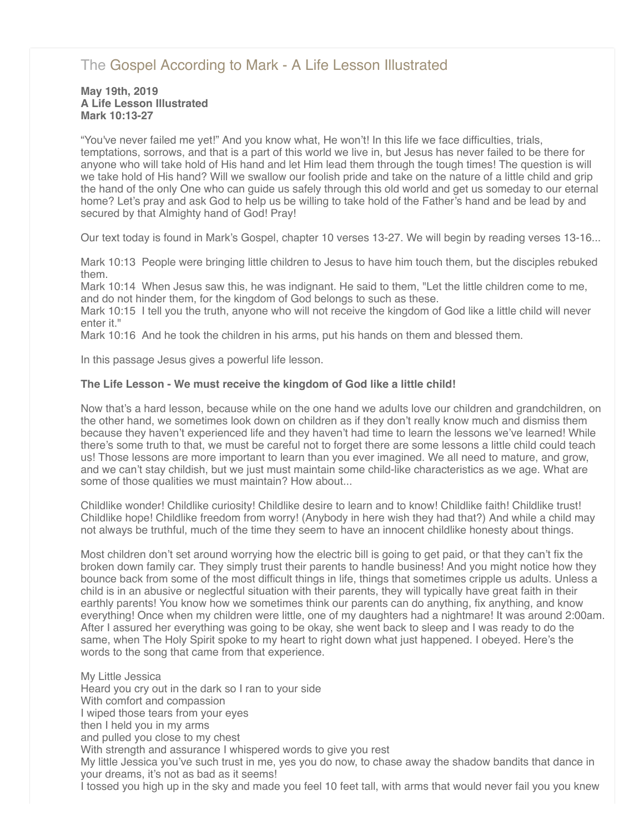# [The Gospel According to Mark - A Life Lesson Illustrated](http://northshorechurch.net/resources/sermons/sermon-notes/451-the-gospel-according-to-mark-a-life-lesson-illustrated)

#### **May 19th, 2019 A Life Lesson Illustrated Mark 10:13-27**

"You've never failed me yet!" And you know what, He won't! In this life we face difficulties, trials, temptations, sorrows, and that is a part of this world we live in, but Jesus has never failed to be there for anyone who will take hold of His hand and let Him lead them through the tough times! The question is will we take hold of His hand? Will we swallow our foolish pride and take on the nature of a little child and grip the hand of the only One who can guide us safely through this old world and get us someday to our eternal home? Let's pray and ask God to help us be willing to take hold of the Father's hand and be lead by and secured by that Almighty hand of God! Pray!

Our text today is found in Mark's Gospel, chapter 10 verses 13-27. We will begin by reading verses 13-16...

Mark 10:13 People were bringing little children to Jesus to have him touch them, but the disciples rebuked them.

Mark 10:14 When Jesus saw this, he was indignant. He said to them, "Let the little children come to me, and do not hinder them, for the kingdom of God belongs to such as these.

Mark 10:15 I tell you the truth, anyone who will not receive the kingdom of God like a little child will never enter it."

Mark 10:16 And he took the children in his arms, put his hands on them and blessed them.

In this passage Jesus gives a powerful life lesson.

## **The Life Lesson - We must receive the kingdom of God like a little child!**

Now that's a hard lesson, because while on the one hand we adults love our children and grandchildren, on the other hand, we sometimes look down on children as if they don't really know much and dismiss them because they haven't experienced life and they haven't had time to learn the lessons we've learned! While there's some truth to that, we must be careful not to forget there are some lessons a little child could teach us! Those lessons are more important to learn than you ever imagined. We all need to mature, and grow, and we can't stay childish, but we just must maintain some child-like characteristics as we age. What are some of those qualities we must maintain? How about...

Childlike wonder! Childlike curiosity! Childlike desire to learn and to know! Childlike faith! Childlike trust! Childlike hope! Childlike freedom from worry! (Anybody in here wish they had that?) And while a child may not always be truthful, much of the time they seem to have an innocent childlike honesty about things.

Most children don't set around worrying how the electric bill is going to get paid, or that they can't fix the broken down family car. They simply trust their parents to handle business! And you might notice how they bounce back from some of the most difficult things in life, things that sometimes cripple us adults. Unless a child is in an abusive or neglectful situation with their parents, they will typically have great faith in their earthly parents! You know how we sometimes think our parents can do anything, fix anything, and know everything! Once when my children were little, one of my daughters had a nightmare! It was around 2:00am. After I assured her everything was going to be okay, she went back to sleep and I was ready to do the same, when The Holy Spirit spoke to my heart to right down what just happened. I obeyed. Here's the words to the song that came from that experience.

My Little Jessica Heard you cry out in the dark so I ran to your side With comfort and compassion I wiped those tears from your eyes then I held you in my arms and pulled you close to my chest With strength and assurance I whispered words to give you rest My little Jessica you've such trust in me, yes you do now, to chase away the shadow bandits that dance in your dreams, it's not as bad as it seems! I tossed you high up in the sky and made you feel 10 feet tall, with arms that would never fail you you knew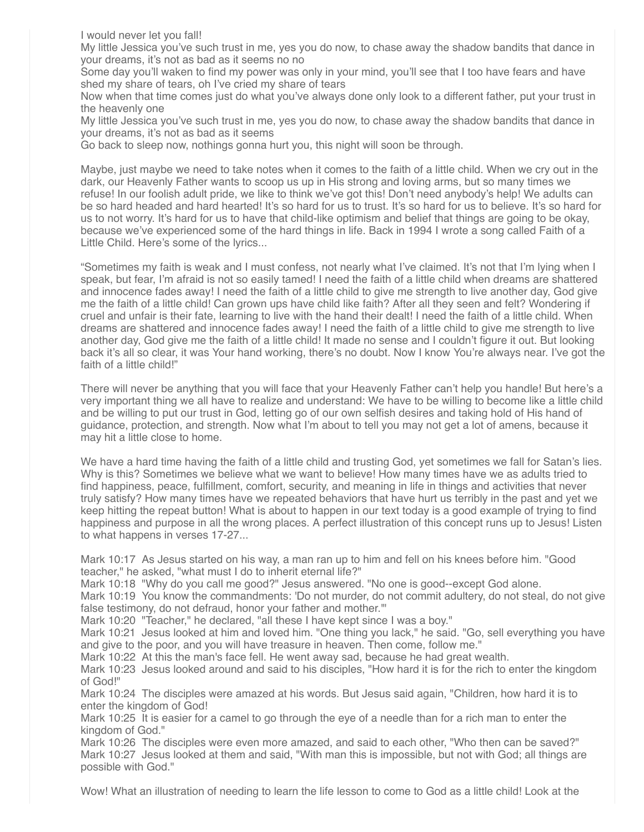I would never let you fall!

My little Jessica you've such trust in me, yes you do now, to chase away the shadow bandits that dance in your dreams, it's not as bad as it seems no no

Some day you'll waken to find my power was only in your mind, you'll see that I too have fears and have shed my share of tears, oh I've cried my share of tears

Now when that time comes just do what you've always done only look to a different father, put your trust in the heavenly one

My little Jessica you've such trust in me, yes you do now, to chase away the shadow bandits that dance in your dreams, it's not as bad as it seems

Go back to sleep now, nothings gonna hurt you, this night will soon be through.

Maybe, just maybe we need to take notes when it comes to the faith of a little child. When we cry out in the dark, our Heavenly Father wants to scoop us up in His strong and loving arms, but so many times we refuse! In our foolish adult pride, we like to think we've got this! Don't need anybody's help! We adults can be so hard headed and hard hearted! It's so hard for us to trust. It's so hard for us to believe. It's so hard for us to not worry. It's hard for us to have that child-like optimism and belief that things are going to be okay, because we've experienced some of the hard things in life. Back in 1994 I wrote a song called Faith of a Little Child. Here's some of the lyrics...

"Sometimes my faith is weak and I must confess, not nearly what I've claimed. It's not that I'm lying when I speak, but fear, I'm afraid is not so easily tamed! I need the faith of a little child when dreams are shattered and innocence fades away! I need the faith of a little child to give me strength to live another day, God give me the faith of a little child! Can grown ups have child like faith? After all they seen and felt? Wondering if cruel and unfair is their fate, learning to live with the hand their dealt! I need the faith of a little child. When dreams are shattered and innocence fades away! I need the faith of a little child to give me strength to live another day, God give me the faith of a little child! It made no sense and I couldn't figure it out. But looking back it's all so clear, it was Your hand working, there's no doubt. Now I know You're always near. I've got the faith of a little child!"

There will never be anything that you will face that your Heavenly Father can't help you handle! But here's a very important thing we all have to realize and understand: We have to be willing to become like a little child and be willing to put our trust in God, letting go of our own selfish desires and taking hold of His hand of guidance, protection, and strength. Now what I'm about to tell you may not get a lot of amens, because it may hit a little close to home.

We have a hard time having the faith of a little child and trusting God, yet sometimes we fall for Satan's lies. Why is this? Sometimes we believe what we want to believe! How many times have we as adults tried to find happiness, peace, fulfillment, comfort, security, and meaning in life in things and activities that never truly satisfy? How many times have we repeated behaviors that have hurt us terribly in the past and yet we keep hitting the repeat button! What is about to happen in our text today is a good example of trying to find happiness and purpose in all the wrong places. A perfect illustration of this concept runs up to Jesus! Listen to what happens in verses 17-27...

Mark 10:17 As Jesus started on his way, a man ran up to him and fell on his knees before him. "Good teacher," he asked, "what must I do to inherit eternal life?"

Mark 10:18 "Why do you call me good?" Jesus answered. "No one is good--except God alone.

Mark 10:19 You know the commandments: 'Do not murder, do not commit adultery, do not steal, do not give false testimony, do not defraud, honor your father and mother.'"

Mark 10:20 "Teacher," he declared, "all these I have kept since I was a boy."

Mark 10:21 Jesus looked at him and loved him. "One thing you lack," he said. "Go, sell everything you have and give to the poor, and you will have treasure in heaven. Then come, follow me."

Mark 10:22 At this the man's face fell. He went away sad, because he had great wealth.

Mark 10:23 Jesus looked around and said to his disciples, "How hard it is for the rich to enter the kingdom of God!"

Mark 10:24 The disciples were amazed at his words. But Jesus said again, "Children, how hard it is to enter the kingdom of God!

Mark 10:25 It is easier for a camel to go through the eye of a needle than for a rich man to enter the kingdom of God."

Mark 10:26 The disciples were even more amazed, and said to each other, "Who then can be saved?" Mark 10:27 Jesus looked at them and said, "With man this is impossible, but not with God; all things are possible with God."

Wow! What an illustration of needing to learn the life lesson to come to God as a little child! Look at the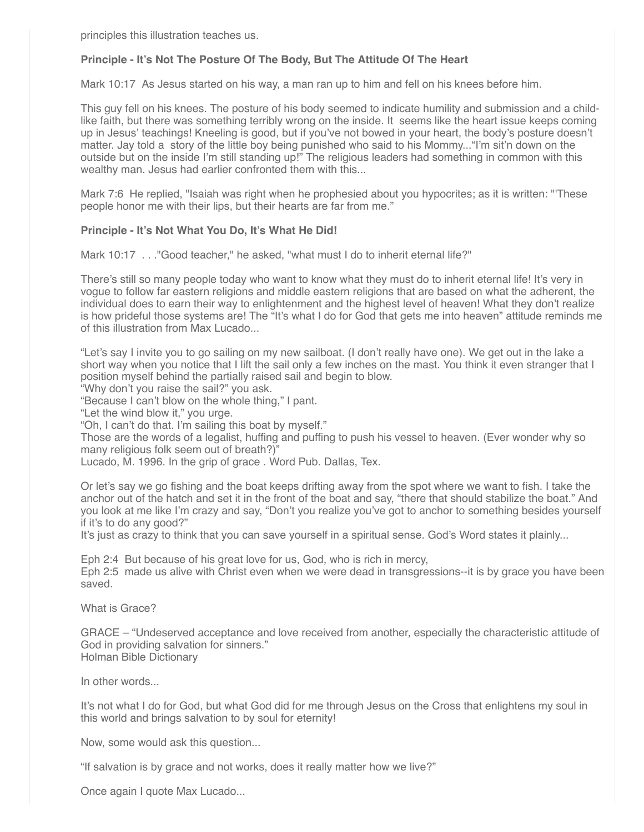principles this illustration teaches us.

## **Principle - It's Not The Posture Of The Body, But The Attitude Of The Heart**

Mark 10:17 As Jesus started on his way, a man ran up to him and fell on his knees before him.

This guy fell on his knees. The posture of his body seemed to indicate humility and submission and a childlike faith, but there was something terribly wrong on the inside. It seems like the heart issue keeps coming up in Jesus' teachings! Kneeling is good, but if you've not bowed in your heart, the body's posture doesn't matter. Jay told a story of the little boy being punished who said to his Mommy..."I'm sit'n down on the outside but on the inside I'm still standing up!" The religious leaders had something in common with this wealthy man. Jesus had earlier confronted them with this...

Mark 7:6 He replied, "Isaiah was right when he prophesied about you hypocrites; as it is written: "'These people honor me with their lips, but their hearts are far from me."

### **Principle - It's Not What You Do, It's What He Did!**

Mark 10:17 . . . "Good teacher," he asked, "what must I do to inherit eternal life?"

There's still so many people today who want to know what they must do to inherit eternal life! It's very in vogue to follow far eastern religions and middle eastern religions that are based on what the adherent, the individual does to earn their way to enlightenment and the highest level of heaven! What they don't realize is how prideful those systems are! The "It's what I do for God that gets me into heaven" attitude reminds me of this illustration from Max Lucado...

"Let's say I invite you to go sailing on my new sailboat. (I don't really have one). We get out in the lake a short way when you notice that I lift the sail only a few inches on the mast. You think it even stranger that I position myself behind the partially raised sail and begin to blow.

"Why don't you raise the sail?" you ask.

"Because I can't blow on the whole thing," I pant.

"Let the wind blow it," you urge.

"Oh, I can't do that. I'm sailing this boat by myself."

Those are the words of a legalist, huffing and puffing to push his vessel to heaven. (Ever wonder why so many religious folk seem out of breath?)"

Lucado, M. 1996. In the grip of grace . Word Pub. Dallas, Tex.

Or let's say we go fishing and the boat keeps drifting away from the spot where we want to fish. I take the anchor out of the hatch and set it in the front of the boat and say, "there that should stabilize the boat." And you look at me like I'm crazy and say, "Don't you realize you've got to anchor to something besides yourself if it's to do any good?"

It's just as crazy to think that you can save yourself in a spiritual sense. God's Word states it plainly...

Eph 2:4 But because of his great love for us, God, who is rich in mercy, Eph 2:5 made us alive with Christ even when we were dead in transgressions--it is by grace you have been saved.

What is Grace?

GRACE – "Undeserved acceptance and love received from another, especially the characteristic attitude of God in providing salvation for sinners." Holman Bible Dictionary

In other words...

It's not what I do for God, but what God did for me through Jesus on the Cross that enlightens my soul in this world and brings salvation to by soul for eternity!

Now, some would ask this question...

"If salvation is by grace and not works, does it really matter how we live?"

Once again I quote Max Lucado...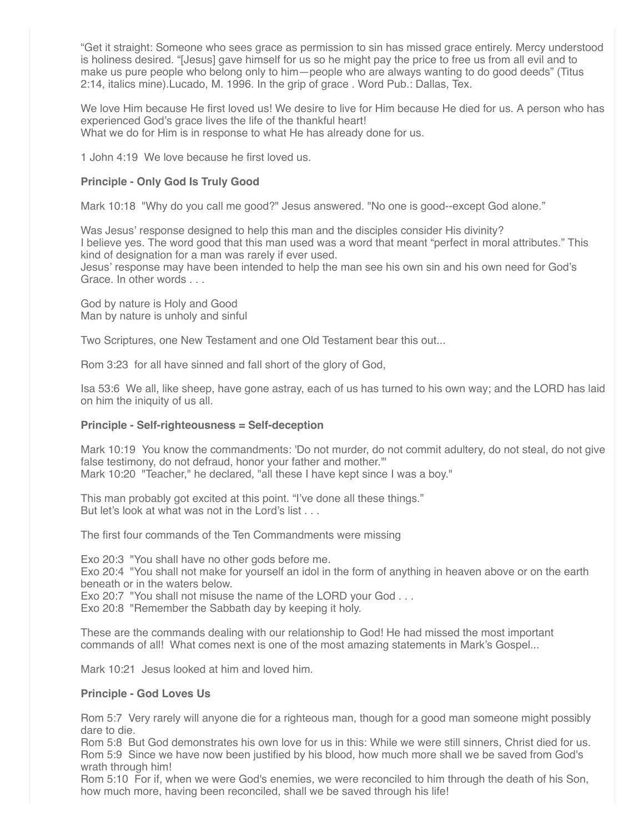"Get it straight: Someone who sees grace as permission to sin has missed grace entirely. Mercy understood is holiness desired. "[Jesus] gave himself for us so he might pay the price to free us from all evil and to make us pure people who belong only to him—people who are always wanting to do good deeds" (Titus 2:14, italics mine).Lucado, M. 1996. In the grip of grace . Word Pub.: Dallas, Tex.

We love Him because He first loved us! We desire to live for Him because He died for us. A person who has experienced God's grace lives the life of the thankful heart! What we do for Him is in response to what He has already done for us.

1 John 4:19 We love because he first loved us.

## **Principle - Only God Is Truly Good**

Mark 10:18 "Why do you call me good?" Jesus answered. "No one is good--except God alone."

Was Jesus' response designed to help this man and the disciples consider His divinity? I believe yes. The word good that this man used was a word that meant "perfect in moral attributes." This kind of designation for a man was rarely if ever used. Jesus' response may have been intended to help the man see his own sin and his own need for God's Grace. In other words . . .

God by nature is Holy and Good Man by nature is unholy and sinful

Two Scriptures, one New Testament and one Old Testament bear this out...

Rom 3:23 for all have sinned and fall short of the glory of God,

Isa 53:6 We all, like sheep, have gone astray, each of us has turned to his own way; and the LORD has laid on him the iniquity of us all.

### **Principle - Self-righteousness = Self-deception**

Mark 10:19 You know the commandments: 'Do not murder, do not commit adultery, do not steal, do not give false testimony, do not defraud, honor your father and mother.'" Mark 10:20 "Teacher," he declared, "all these I have kept since I was a boy."

This man probably got excited at this point. "I've done all these things." But let's look at what was not in the Lord's list ...

The first four commands of the Ten Commandments were missing

Exo 20:3 "You shall have no other gods before me.

Exo 20:4 "You shall not make for yourself an idol in the form of anything in heaven above or on the earth beneath or in the waters below.

Exo 20:7 "You shall not misuse the name of the LORD your God . . .

Exo 20:8 "Remember the Sabbath day by keeping it holy.

These are the commands dealing with our relationship to God! He had missed the most important commands of all! What comes next is one of the most amazing statements in Mark's Gospel...

Mark 10:21 Jesus looked at him and loved him.

### **Principle - God Loves Us**

Rom 5:7 Very rarely will anyone die for a righteous man, though for a good man someone might possibly dare to die.

Rom 5:8 But God demonstrates his own love for us in this: While we were still sinners, Christ died for us. Rom 5:9 Since we have now been justified by his blood, how much more shall we be saved from God's wrath through him!

Rom 5:10 For if, when we were God's enemies, we were reconciled to him through the death of his Son, how much more, having been reconciled, shall we be saved through his life!